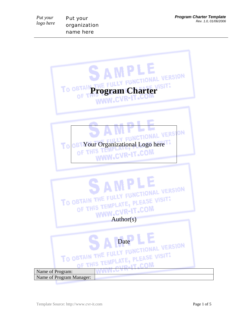Put your organization name here

*Put your logo here* 

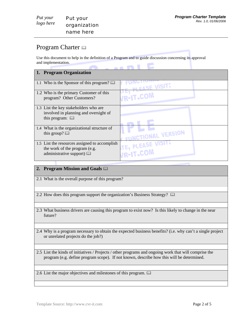# Program Charter  $\Box$

*Put your logo here* 

Use this document to help in the definition of a Program and to guide discussion concerning its approval and implementation. 

| 1. Program Organization                       |                                  |
|-----------------------------------------------|----------------------------------|
|                                               |                                  |
| 1.1 Who is the Sponsor of this program? [12]  | PLEASE VISIT!                    |
|                                               |                                  |
| 1.2 Who is the primary Customer of this       |                                  |
| program? Other Customers?                     | <b>IR-IT-COM</b>                 |
|                                               |                                  |
|                                               |                                  |
| 1.3 List the key stakeholders who are         |                                  |
| involved in planning and oversight of         |                                  |
| this program: $\Box$                          |                                  |
|                                               |                                  |
| 1.4 What is the organizational structure of   |                                  |
| this group? $\Box$                            |                                  |
|                                               | <b>FLINCTIONAL VERSION</b>       |
|                                               | <b><i>ITE, PLEASE VISIT.</i></b> |
| 1.5 List the resources assigned to accomplish |                                  |
| the work of the program (e.g.                 |                                  |
| administrative support) $\Box$                | VR-IT-COM                        |
|                                               |                                  |
|                                               |                                  |

# **2. Program Mission and Goals**

2.1 What is the overall purpose of this program?

2.2 How does this program support the organization's Business Strategy?  $\Box$ 

- 2.3 What business drivers are causing this program to exist now? Is this likely to change in the near future?
- 2.4 Why is a program necessary to obtain the expected business benefits? (i.e. why can't a single project or unrelated projects do the job?)

2.5 List the kinds of initiatives / Projects / other programs and ongoing work that will comprise the program (e.g. define program scope). If not known, describe how this will be determined.

2.6 List the major objectives and milestones of this program.  $\Box$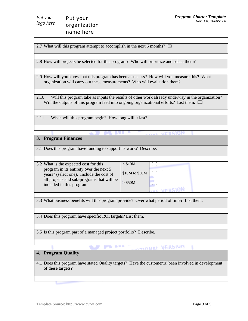2.7 What will this program attempt to accomplish in the next 6 months?  $\Box$ 

2.8 How will projects be selected for this program? Who will prioritize and select them?

2.9 How will you know that this program has been a success? How will you measure this? What organization will carry out these measurements? Who will evaluation them?

2.10 Will this program take as inputs the results of other work already underway in the organization? Will the outputs of this program feed into ongoing organizational efforts? List them.  $\square\hspace{-.08cm}\square$ 

2.11 When will this program begin? How long will it last?

#### **3. Program Finances**

3.1 Does this program have funding to support its work? Describe.

| 3.2 What is the expected cost for this                                                                                                                         | $<$ \$10M                                |  |
|----------------------------------------------------------------------------------------------------------------------------------------------------------------|------------------------------------------|--|
| program in its entirety over the next 5<br>years? (select one). Include the cost of<br>all projects and sub-programs that will be<br>included in this program. | $$10M$ to $$50M$   [ ]<br>$>$ \$50M $\,$ |  |
|                                                                                                                                                                |                                          |  |

3.3 What business benefits will this program provide? Over what period of time? List them.

3.4 Does this program have specific ROI targets? List them.

3.5 Is this program part of a managed project portfolio? Describe.

## **4. Program Quality**

4.1 Does this program have stated Quality targets? Have the customer(s) been involved in development of these targets?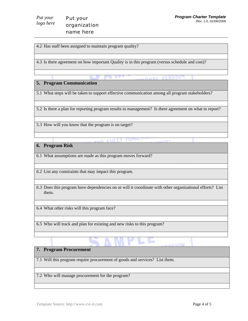4.2 Has staff been assigned to maintain program quality?

4.3 Is there agreement on how important Quality is in this program (versus schedule and cost)?

## **5. Program Communication**

5.1 What steps will be taken to support effective communication among all program stakeholders?

5.2 Is there a plan for reporting program results to management? Is there agreement on what to report?

5.3 How will you know that the program is on target?

ve entit

#### **6. Program Risk**

6.1 What assumptions are made as this program moves forward?

6.2 List any constraints that may impact this program.

6.3 Does this program have dependencies on or will it coordinate with other organizational efforts? List them.

٠

6.4 What other risks will this program face?

6.5 Who will track and plan for existing and new risks to this program?

## **7. Program Procurement**

7.1 Will this program require procurement of goods and services? List them.

7.2 Who will manage procurement for the program?